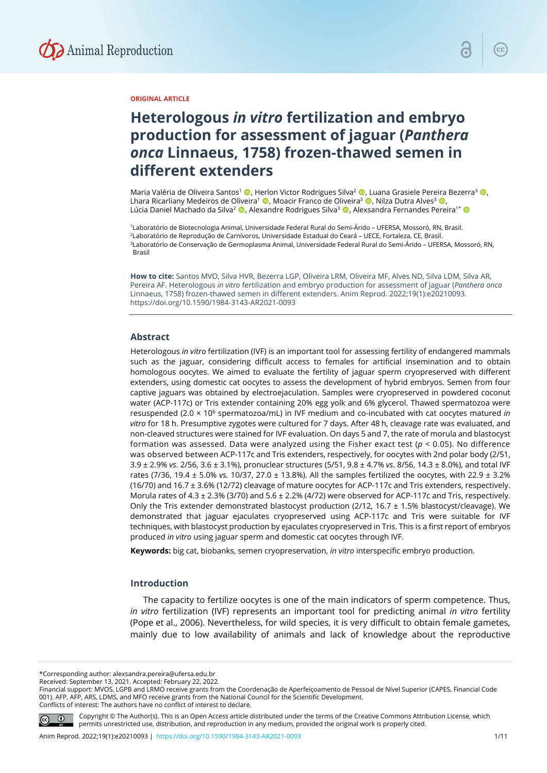

## **ORIGINAL ARTICLE**

# **Heterologous** *in vitro* **fertilization and embryo production for assessment of jaguar (***Panthera onca* **Linnaeus, 1758) frozen-thawed semen in different extenders**

Maria Valéria de Oliveira Santos<sup>1</sup> (**D**, Herlon Victor Rodrigues Silva<sup>2</sup> (**D**, Luana Grasiele Pereira Bezerra<sup>3</sup> (**D**, Lhara Ricarliany Medeiros de Oliveira<sup>1</sup> ©. Moacir Franco de Oliveira<sup>3</sup> ©. Nilza Dutra Alves<sup>3</sup> ©. Lúcia Daniel Machado da Silva<sup>2</sup> (D, Alexandre Rodrigues Silva<sup>3</sup> (D, Alexsandra Fernandes Pereira<sup>1\*</sup> (D

1Laboratório de Biotecnologia Animal, Universidade Federal Rural do Semi-Árido – UFERSA, Mossoró, RN, Brasil. 2Laboratório de Reprodução de Carnívoros, Universidade Estadual do Ceará – UECE, Fortaleza, CE, Brasil. 3Laboratório de Conservação de Germoplasma Animal, Universidade Federal Rural do Semi-Árido – UFERSA, Mossoró, RN, Brasil

**How to cite:** Santos MVO, Silva HVR, Bezerra LGP, Oliveira LRM, Oliveira MF, Alves ND, Silva LDM, Silva AR, Pereira AF. Heterologous *in vitro* fertilization and embryo production for assessment of jaguar (*Panthera onca* Linnaeus, 1758) frozen-thawed semen in different extenders. Anim Reprod. 2022;19(1):e20210093. https://doi.org/10.1590/1984-3143-AR2021-0093

## **Abstract**

Heterologous *in vitro* fertilization (IVF) is an important tool for assessing fertility of endangered mammals such as the jaguar, considering difficult access to females for artificial insemination and to obtain homologous oocytes. We aimed to evaluate the fertility of jaguar sperm cryopreserved with different extenders, using domestic cat oocytes to assess the development of hybrid embryos. Semen from four captive jaguars was obtained by electroejaculation. Samples were cryopreserved in powdered coconut water (ACP-117c) or Tris extender containing 20% egg yolk and 6% glycerol. Thawed spermatozoa were resuspended (2.0 × 106 spermatozoa/mL) in IVF medium and co-incubated with cat oocytes matured *in vitro* for 18 h. Presumptive zygotes were cultured for 7 days. After 48 h, cleavage rate was evaluated, and non-cleaved structures were stained for IVF evaluation. On days 5 and 7, the rate of morula and blastocyst formation was assessed. Data were analyzed using the Fisher exact test (*p* < 0.05). No difference was observed between ACP-117c and Tris extenders, respectively, for oocytes with 2nd polar body (2/51, 3.9 ± 2.9% *vs*. 2/56, 3.6 ± 3.1%), pronuclear structures (5/51, 9.8 ± 4.7% *vs*. 8/56, 14.3 ± 8.0%), and total IVF rates (7/36, 19.4 ± 5.0% *vs.* 10/37, 27.0 ± 13.8%). All the samples fertilized the oocytes, with 22.9 ± 3.2% (16/70) and 16.7 ± 3.6% (12/72) cleavage of mature oocytes for ACP-117c and Tris extenders, respectively. Morula rates of 4.3 ± 2.3% (3/70) and 5.6 ± 2.2% (4/72) were observed for ACP-117c and Tris, respectively. Only the Tris extender demonstrated blastocyst production (2/12, 16.7 ± 1.5% blastocyst/cleavage). We demonstrated that jaguar ejaculates cryopreserved using ACP-117c and Tris were suitable for IVF techniques, with blastocyst production by ejaculates cryopreserved in Tris. This is a first report of embryos produced *in vitro* using jaguar sperm and domestic cat oocytes through IVF.

**Keywords:** big cat, biobanks, semen cryopreservation, *in vitro* interspecific embryo production.

## **Introduction**

The capacity to fertilize oocytes is one of the main indicators of sperm competence. Thus, *in vitro* fertilization (IVF) represents an important tool for predicting animal *in vitro* fertility (Pope et al., 2006). Nevertheless, for wild species, it is very difficult to obtain female gametes, mainly due to low availability of animals and lack of knowledge about the reproductive

\*Corresponding author: alexsandra.pereira@ufersa.edu.br

Received: September 13, 2021. Accepted: February 22, 2022.

Financial support: MVOS, LGPB and LRMO receive grants from the Coordenação de Aperfeiçoamento de Pessoal de Nível Superior (CAPES, Financial Code 001). AFP, AFP, ARS, LDMS, and MFO receive grants from the National Council for the Scientific Development. Conflicts of interest: The authors have no conflict of interest to declare.



Copyright © The Author(s). This is an Open Access article distributed under the terms of the Creative Commons Attribution License, which permits unrestricted use, distribution, and reproduction in any medium, provided the original work is properly cited.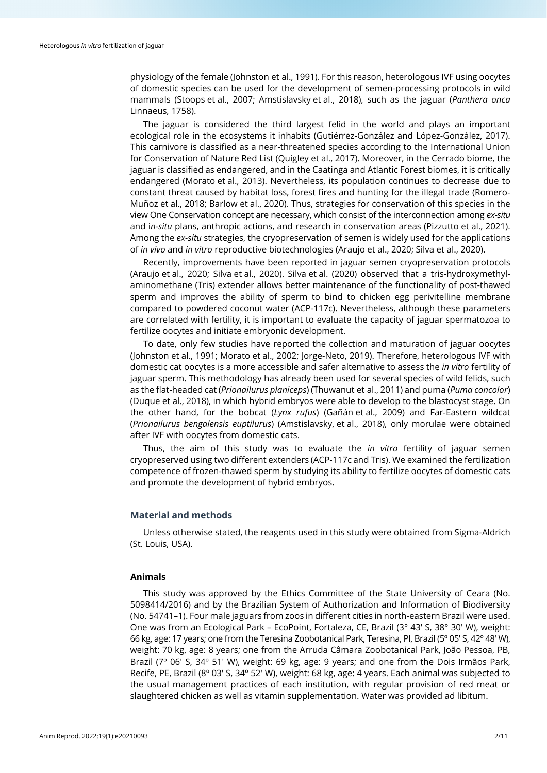physiology of the female (Johnston et al., 1991). For this reason, heterologous IVF using oocytes of domestic species can be used for the development of semen-processing protocols in wild mammals (Stoops et al., 2007; Amstislavsky et al., 2018), such as the jaguar (*Panthera onca* Linnaeus, 1758).

The jaguar is considered the third largest felid in the world and plays an important ecological role in the ecosystems it inhabits (Gutiérrez-González and López-González, 2017). This carnivore is classified as a near-threatened species according to the International Union for Conservation of Nature Red List (Quigley et al., 2017). Moreover, in the Cerrado biome, the jaguar is classified as endangered, and in the Caatinga and Atlantic Forest biomes, it is critically endangered (Morato et al., 2013). Nevertheless, its population continues to decrease due to constant threat caused by habitat loss, forest fires and hunting for the illegal trade (Romero‐ Muñoz et al., 2018; Barlow et al., 2020). Thus, strategies for conservation of this species in the view One Conservation concept are necessary, which consist of the interconnection among *ex-situ* and i*n-situ* plans, anthropic actions, and research in conservation areas (Pizzutto et al., 2021). Among the *ex-situ* strategies, the cryopreservation of semen is widely used for the applications of *in vivo* and *in vitro* reproductive biotechnologies (Araujo et al., 2020; Silva et al., 2020).

Recently, improvements have been reported in jaguar semen cryopreservation protocols (Araujo et al., 2020; Silva et al., 2020). Silva et al. (2020) observed that a tris-hydroxymethylaminomethane (Tris) extender allows better maintenance of the functionality of post-thawed sperm and improves the ability of sperm to bind to chicken egg perivitelline membrane compared to powdered coconut water (ACP-117c). Nevertheless, although these parameters are correlated with fertility, it is important to evaluate the capacity of jaguar spermatozoa to fertilize oocytes and initiate embryonic development.

To date, only few studies have reported the collection and maturation of jaguar oocytes (Johnston et al., 1991; Morato et al., 2002; Jorge-Neto, 2019). Therefore, heterologous IVF with domestic cat oocytes is a more accessible and safer alternative to assess the *in vitro* fertility of jaguar sperm. This methodology has already been used for several species of wild felids, such as the flat-headed cat (*Prionailurus planiceps*) (Thuwanut et al., 2011) and puma (*Puma concolor*) (Duque et al., 2018), in which hybrid embryos were able to develop to the blastocyst stage. On the other hand, for the bobcat (*Lynx rufus*) (Gañán et al., 2009) and Far‐Eastern wildcat (*Prionailurus bengalensis euptilurus*) (Amstislavsky, et al., 2018), only morulae were obtained after IVF with oocytes from domestic cats.

Thus, the aim of this study was to evaluate the *in vitro* fertility of jaguar semen cryopreserved using two different extenders (ACP-117c and Tris). We examined the fertilization competence of frozen-thawed sperm by studying its ability to fertilize oocytes of domestic cats and promote the development of hybrid embryos.

## **Material and methods**

Unless otherwise stated, the reagents used in this study were obtained from Sigma-Aldrich (St. Louis, USA).

## **Animals**

This study was approved by the Ethics Committee of the State University of Ceara (No. 5098414/2016) and by the Brazilian System of Authorization and Information of Biodiversity (No. 54741–1). Four male jaguars from zoos in different cities in north-eastern Brazil were used. One was from an Ecological Park – EcoPoint, Fortaleza, CE, Brazil (3° 43′ S, 38° 30′ W), weight: 66 kg, age: 17 years; one from the Teresina Zoobotanical Park, Teresina, PI, Brazil (5º 05′ S, 42º 48′ W), weight: 70 kg, age: 8 years; one from the Arruda Câmara Zoobotanical Park, João Pessoa, PB, Brazil (7<sup>°</sup> 06′ S, 34<sup>°</sup> 51′ W), weight: 69 kg, age: 9 years; and one from the Dois Irmãos Park, Recife, PE, Brazil (8º 03′ S, 34º 52′ W), weight: 68 kg, age: 4 years. Each animal was subjected to the usual management practices of each institution, with regular provision of red meat or slaughtered chicken as well as vitamin supplementation. Water was provided ad libitum.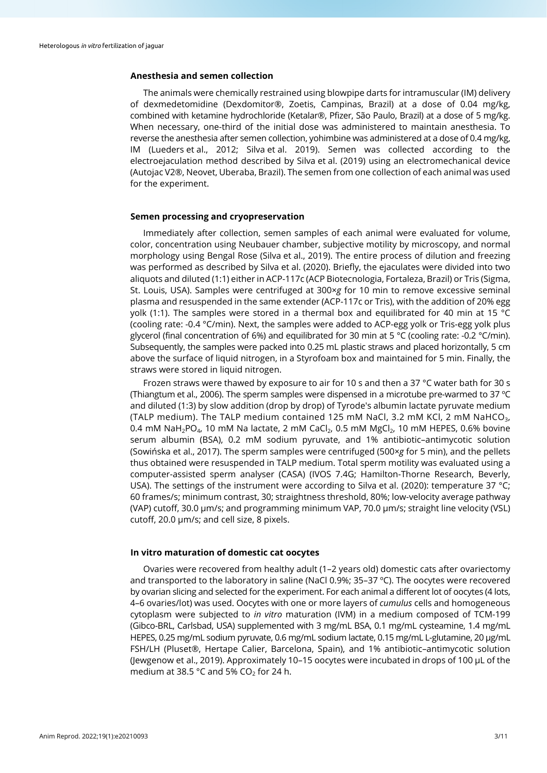## **Anesthesia and semen collection**

The animals were chemically restrained using blowpipe darts for intramuscular (IM) delivery of dexmedetomidine (Dexdomitor®, Zoetis, Campinas, Brazil) at a dose of 0.04 mg/kg, combined with ketamine hydrochloride (Ketalar®, Pfizer, São Paulo, Brazil) at a dose of 5 mg/kg. When necessary, one-third of the initial dose was administered to maintain anesthesia. To reverse the anesthesia after semen collection, yohimbine was administered at a dose of 0.4 mg/kg, IM (Lueders et al., 2012; Silva et al. 2019). Semen was collected according to the electroejaculation method described by Silva et al. (2019) using an electromechanical device (Autojac V2®, Neovet, Uberaba, Brazil). The semen from one collection of each animal was used for the experiment.

## **Semen processing and cryopreservation**

Immediately after collection, semen samples of each animal were evaluated for volume, color, concentration using Neubauer chamber, subjective motility by microscopy, and normal morphology using Bengal Rose (Silva et al., 2019). The entire process of dilution and freezing was performed as described by Silva et al. (2020). Briefly, the ejaculates were divided into two aliquots and diluted (1:1) either in ACP-117c (ACP Biotecnologia, Fortaleza, Brazil) or Tris (Sigma, St. Louis, USA). Samples were centrifuged at 300×*g* for 10 min to remove excessive seminal plasma and resuspended in the same extender (ACP-117c or Tris), with the addition of 20% egg yolk (1:1). The samples were stored in a thermal box and equilibrated for 40 min at 15 °C (cooling rate: -0.4 °C/min). Next, the samples were added to ACP-egg yolk or Tris-egg yolk plus glycerol (final concentration of 6%) and equilibrated for 30 min at 5 °C (cooling rate: -0.2 °C/min). Subsequently, the samples were packed into 0.25 mL plastic straws and placed horizontally, 5 cm above the surface of liquid nitrogen, in a Styrofoam box and maintained for 5 min. Finally, the straws were stored in liquid nitrogen.

Frozen straws were thawed by exposure to air for 10 s and then a 37 °C water bath for 30 s (Thiangtum et al., 2006). The sperm samples were dispensed in a microtube pre-warmed to 37 ºC and diluted (1:3) by slow addition (drop by drop) of Tyrode's albumin lactate pyruvate medium (TALP medium). The TALP medium contained 125 mM NaCl, 3.2 mM KCl, 2 mM NaHCO3, 0.4 mM NaH<sub>2</sub>PO<sub>4</sub>, 10 mM Na lactate, 2 mM CaCl<sub>2</sub>, 0.5 mM MgCl<sub>2</sub>, 10 mM HEPES, 0.6% bovine serum albumin (BSA), 0.2 mM sodium pyruvate, and 1% antibiotic–antimycotic solution (Sowińska et al., 2017). The sperm samples were centrifuged (500×*g* for 5 min), and the pellets thus obtained were resuspended in TALP medium. Total sperm motility was evaluated using a computer-assisted sperm analyser (CASA) (IVOS 7.4G; Hamilton-Thorne Research, Beverly, USA). The settings of the instrument were according to Silva et al. (2020): temperature 37 °C; 60 frames/s; minimum contrast, 30; straightness threshold, 80%; low-velocity average pathway (VAP) cutoff, 30.0 μm/s; and programming minimum VAP, 70.0 μm/s; straight line velocity (VSL) cutoff, 20.0 μm/s; and cell size, 8 pixels.

## **In vitro maturation of domestic cat oocytes**

Ovaries were recovered from healthy adult (1–2 years old) domestic cats after ovariectomy and transported to the laboratory in saline (NaCl 0.9%; 35-37 °C). The oocytes were recovered by ovarian slicing and selected for the experiment. For each animal a different lot of oocytes (4 lots, 4–6 ovaries/lot) was used. Oocytes with one or more layers of *cumulus* cells and homogeneous cytoplasm were subjected to *in vitro* maturation (IVM) in a medium composed of TCM-199 (Gibco-BRL, Carlsbad, USA) supplemented with 3 mg/mL BSA, 0.1 mg/mL cysteamine, 1.4 mg/mL HEPES, 0.25 mg/mL sodium pyruvate, 0.6 mg/mL sodium lactate, 0.15 mg/mL L-glutamine, 20 μg/mL FSH/LH (Pluset®, Hertape Calier, Barcelona, Spain), and 1% antibiotic–antimycotic solution (Jewgenow et al., 2019). Approximately 10–15 oocytes were incubated in drops of 100 µL of the medium at 38.5 °C and 5%  $CO<sub>2</sub>$  for 24 h.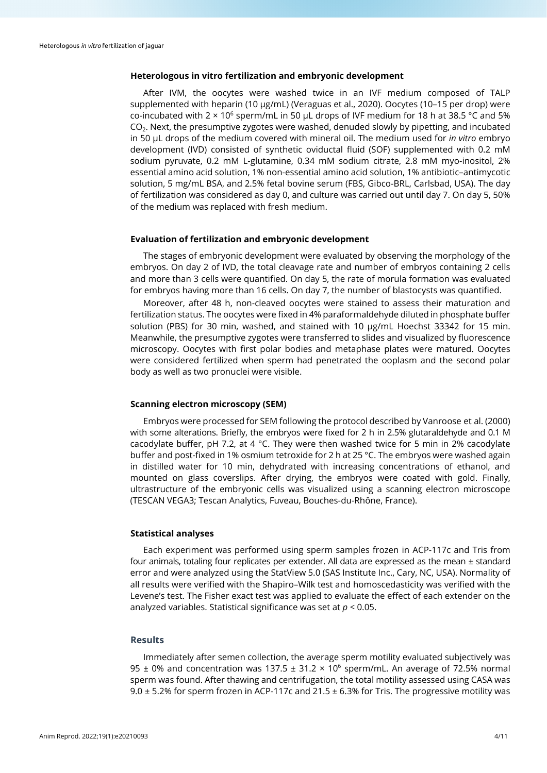## **Heterologous in vitro fertilization and embryonic development**

After IVM, the oocytes were washed twice in an IVF medium composed of TALP supplemented with heparin (10 µg/mL) (Veraguas et al., 2020). Oocytes (10–15 per drop) were co-incubated with  $2 \times 10^6$  sperm/mL in 50 µL drops of IVF medium for 18 h at 38.5 °C and 5% CO2. Next, the presumptive zygotes were washed, denuded slowly by pipetting, and incubated in 50 µL drops of the medium covered with mineral oil. The medium used for *in vitro* embryo development (IVD) consisted of synthetic oviductal fluid (SOF) supplemented with 0.2 mM sodium pyruvate, 0.2 mM L-glutamine, 0.34 mM sodium citrate, 2.8 mM myo-inositol, 2% essential amino acid solution, 1% non-essential amino acid solution, 1% antibiotic–antimycotic solution, 5 mg/mL BSA, and 2.5% fetal bovine serum (FBS, Gibco-BRL, Carlsbad, USA). The day of fertilization was considered as day 0, and culture was carried out until day 7. On day 5, 50% of the medium was replaced with fresh medium.

#### **Evaluation of fertilization and embryonic development**

The stages of embryonic development were evaluated by observing the morphology of the embryos. On day 2 of IVD, the total cleavage rate and number of embryos containing 2 cells and more than 3 cells were quantified. On day 5, the rate of morula formation was evaluated for embryos having more than 16 cells. On day 7, the number of blastocysts was quantified.

Moreover, after 48 h, non-cleaved oocytes were stained to assess their maturation and fertilization status. The oocytes were fixed in 4% paraformaldehyde diluted in phosphate buffer solution (PBS) for 30 min, washed, and stained with 10 µg/mL Hoechst 33342 for 15 min. Meanwhile, the presumptive zygotes were transferred to slides and visualized by fluorescence microscopy. Oocytes with first polar bodies and metaphase plates were matured. Oocytes were considered fertilized when sperm had penetrated the ooplasm and the second polar body as well as two pronuclei were visible.

## **Scanning electron microscopy (SEM)**

Embryos were processed for SEM following the protocol described by Vanroose et al. (2000) with some alterations. Briefly, the embryos were fixed for 2 h in 2.5% glutaraldehyde and 0.1 M cacodylate buffer, pH 7.2, at 4 °C. They were then washed twice for 5 min in 2% cacodylate buffer and post-fixed in 1% osmium tetroxide for 2 h at 25 °C. The embryos were washed again in distilled water for 10 min, dehydrated with increasing concentrations of ethanol, and mounted on glass coverslips. After drying, the embryos were coated with gold. Finally, ultrastructure of the embryonic cells was visualized using a scanning electron microscope (TESCAN VEGA3; Tescan Analytics, Fuveau, Bouches-du-Rhône, France).

## **Statistical analyses**

Each experiment was performed using sperm samples frozen in ACP-117c and Tris from four animals, totaling four replicates per extender. All data are expressed as the mean  $\pm$  standard error and were analyzed using the StatView 5.0 (SAS Institute Inc., Cary, NC, USA). Normality of all results were verified with the Shapiro–Wilk test and homoscedasticity was verified with the Levene's test. The Fisher exact test was applied to evaluate the effect of each extender on the analyzed variables. Statistical significance was set at *p <* 0.05.

## **Results**

Immediately after semen collection, the average sperm motility evaluated subjectively was 95  $\pm$  0% and concentration was 137.5  $\pm$  31.2  $\times$  10<sup>6</sup> sperm/mL. An average of 72.5% normal sperm was found. After thawing and centrifugation, the total motility assessed using CASA was 9.0  $\pm$  5.2% for sperm frozen in ACP-117c and 21.5  $\pm$  6.3% for Tris. The progressive motility was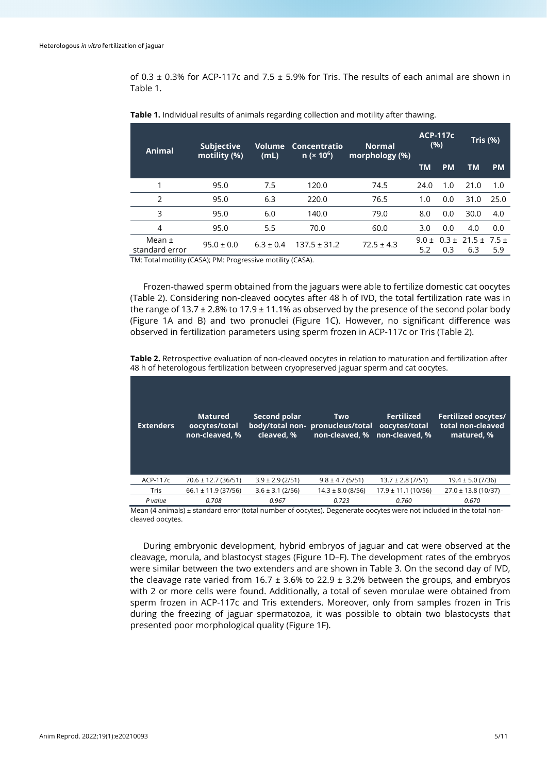of 0.3  $\pm$  0.3% for ACP-117c and 7.5  $\pm$  5.9% for Tris. The results of each animal are shown in Table 1.

| Animal                       | <b>Subjective</b><br>motility (%) | Volume<br>(mL) | Concentratio<br>n (x 10 <sup>6</sup> ) | <b>Normal</b><br>morphology (%) | <b>ACP-117c</b><br>(%) |           | Tris (%)                            |           |
|------------------------------|-----------------------------------|----------------|----------------------------------------|---------------------------------|------------------------|-----------|-------------------------------------|-----------|
|                              |                                   |                |                                        |                                 | <b>TM</b>              | <b>PM</b> | TM.                                 | <b>PM</b> |
|                              | 95.0                              | 7.5            | 120.0                                  | 74.5                            | 24.0                   | 1.0       | 21.0                                | 1.0       |
| $\mathcal{P}$                | 95.0                              | 6.3            | 220.0                                  | 76.5                            | 1.0                    | 0.0       | 31.0                                | 25.0      |
| 3                            | 95.0                              | 6.0            | 140.0                                  | 79.0                            | 8.0                    | 0.0       | 30.0                                | 4.0       |
| $\overline{4}$               | 95.0                              | 5.5            | 70.0                                   | 60.0                            | 3.0                    | 0.0       | 4.0                                 | 0.0       |
| Mean $\pm$<br>standard error | $95.0 \pm 0.0$                    | $6.3 \pm 0.4$  | $137.5 \pm 31.2$                       | $72.5 \pm 4.3$                  | $9.0 \pm$<br>5.2       | 0.3       | $0.3 \pm 21.5 \pm 7.5 \pm 1$<br>6.3 | 5.9       |

**Table 1.** Individual results of animals regarding collection and motility after thawing.

TM: Total motility (CASA); PM: Progressive motility (CASA).

Frozen-thawed sperm obtained from the jaguars were able to fertilize domestic cat oocytes (Table 2). Considering non-cleaved oocytes after 48 h of IVD, the total fertilization rate was in the range of 13.7  $\pm$  2.8% to 17.9  $\pm$  11.1% as observed by the presence of the second polar body (Figure 1A and B) and two pronuclei (Figure 1C). However, no significant difference was observed in fertilization parameters using sperm frozen in ACP-117c or Tris (Table 2).

**Table 2.** Retrospective evaluation of non-cleaved oocytes in relation to maturation and fertilization after 48 h of heterologous fertilization between cryopreserved jaguar sperm and cat oocytes.

| <b>Extenders</b> | <b>Matured</b><br>oocytes/total<br>non-cleaved, % | Second polar<br>cleaved, % | <b>Two</b><br>body/total non- pronucleus/total<br>non-cleaved, % | <b>Fertilized</b><br>oocytes/total<br>non-cleaved. % | <b>Fertilized oocytes/</b><br>total non-cleaved<br>matured. % |
|------------------|---------------------------------------------------|----------------------------|------------------------------------------------------------------|------------------------------------------------------|---------------------------------------------------------------|
| ACP-117c         | $70.6 \pm 12.7$ (36/51)                           | $3.9 \pm 2.9$ (2/51)       | $9.8 \pm 4.7$ (5/51)                                             | $13.7 \pm 2.8$ (7/51)                                | $19.4 \pm 5.0$ (7/36)                                         |
| <b>Tris</b>      | $66.1 \pm 11.9$ (37/56)                           | $3.6 \pm 3.1$ (2/56)       | $14.3 \pm 8.0$ (8/56)                                            | $17.9 \pm 11.1(10/56)$                               | $27.0 \pm 13.8$ (10/37)                                       |
| P value          | 0.708                                             | 0.967                      | 0.723                                                            | 0.760                                                | 0.670                                                         |
|                  |                                                   |                            |                                                                  |                                                      |                                                               |

Mean (4 animals) ± standard error (total number of oocytes). Degenerate oocytes were not included in the total noncleaved oocytes.

During embryonic development, hybrid embryos of jaguar and cat were observed at the cleavage, morula, and blastocyst stages (Figure 1D–F). The development rates of the embryos were similar between the two extenders and are shown in Table 3. On the second day of IVD, the cleavage rate varied from  $16.7 \pm 3.6\%$  to 22.9  $\pm 3.2\%$  between the groups, and embryos with 2 or more cells were found. Additionally, a total of seven morulae were obtained from sperm frozen in ACP-117c and Tris extenders. Moreover, only from samples frozen in Tris during the freezing of jaguar spermatozoa, it was possible to obtain two blastocysts that presented poor morphological quality (Figure 1F).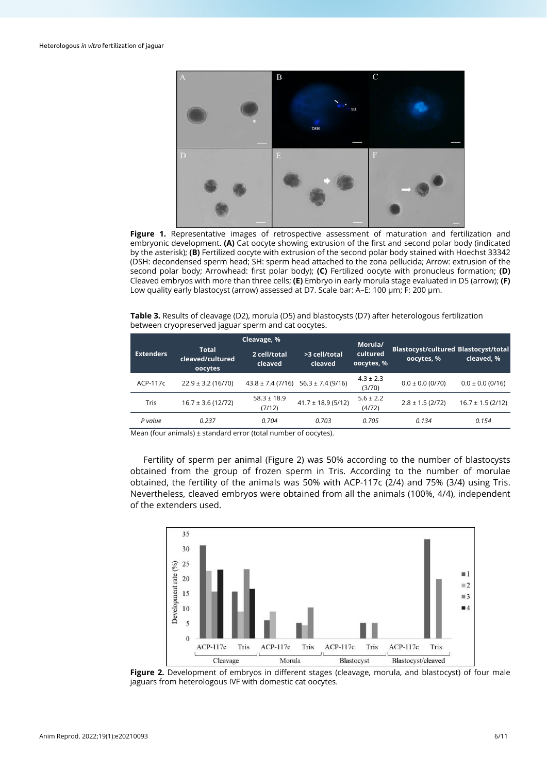

**Figure 1.** Representative images of retrospective assessment of maturation and fertilization and embryonic development. **(A)** Cat oocyte showing extrusion of the first and second polar body (indicated by the asterisk); **(B)** Fertilized oocyte with extrusion of the second polar body stained with Hoechst 33342 (DSH: decondensed sperm head; SH: sperm head attached to the zona pellucida; Arrow: extrusion of the second polar body; Arrowhead: first polar body); **(C)** Fertilized oocyte with pronucleus formation; **(D)** Cleaved embryos with more than three cells; **(E)** Embryo in early morula stage evaluated in D5 (arrow); **(F)** Low quality early blastocyst (arrow) assessed at D7. Scale bar: A–E: 100 µm; F: 200 µm.

**Table 3.** Results of cleavage (D2), morula (D5) and blastocysts (D7) after heterologous fertilization between cryopreserved jaguar sperm and cat oocytes.

|                  |                                             | Cleavage, %               | Morula/                                     |                         |                                                           |                       |
|------------------|---------------------------------------------|---------------------------|---------------------------------------------|-------------------------|-----------------------------------------------------------|-----------------------|
| <b>Extenders</b> | <b>Total</b><br>cleaved/cultured<br>oocytes | 2 cell/total<br>cleaved   | >3 cell/total<br>cleaved                    | cultured<br>oocytes, %  | <b>Blastocyst/cultured Blastocyst/total</b><br>oocytes, % | cleaved, %            |
| ACP-117c         | $22.9 \pm 3.2$ (16/70)                      |                           | $43.8 \pm 7.4$ (7/16) $56.3 \pm 7.4$ (9/16) | $4.3 \pm 2.3$<br>(3/70) | $0.0 \pm 0.0$ (0/70)                                      | $0.0 \pm 0.0$ (0/16)  |
| Tris             | $16.7 \pm 3.6$ (12/72)                      | $58.3 \pm 18.9$<br>(7/12) | $41.7 \pm 18.9$ (5/12)                      | $5.6 \pm 2.2$<br>(4/72) | $2.8 \pm 1.5$ (2/72)                                      | $16.7 \pm 1.5$ (2/12) |
| P value          | 0.237                                       | 0.704                     | 0.703                                       | 0.705                   | 0.134                                                     | 0.154                 |

Mean (four animals) ± standard error (total number of oocytes).

Fertility of sperm per animal (Figure 2) was 50% according to the number of blastocysts obtained from the group of frozen sperm in Tris. According to the number of morulae obtained, the fertility of the animals was 50% with ACP-117c (2/4) and 75% (3/4) using Tris. Nevertheless, cleaved embryos were obtained from all the animals (100%, 4/4), independent of the extenders used.



**Figure 2.** Development of embryos in different stages (cleavage, morula, and blastocyst) of four male jaguars from heterologous IVF with domestic cat oocytes.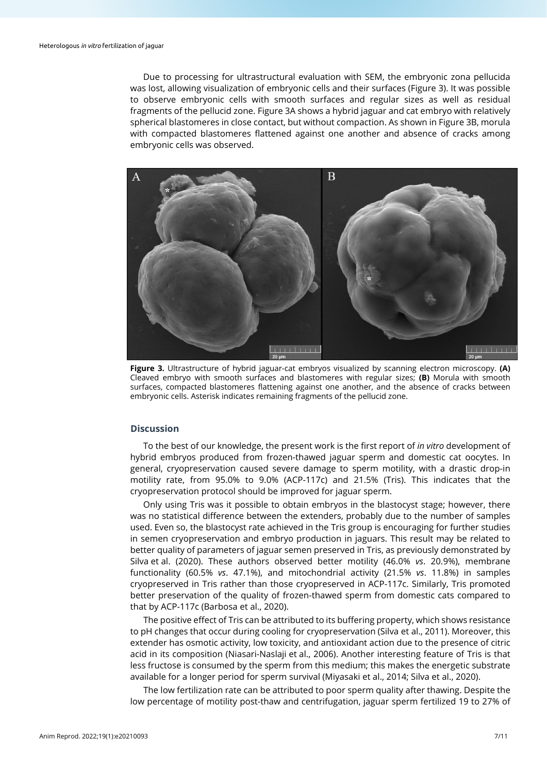Due to processing for ultrastructural evaluation with SEM, the embryonic zona pellucida was lost, allowing visualization of embryonic cells and their surfaces (Figure 3). It was possible to observe embryonic cells with smooth surfaces and regular sizes as well as residual fragments of the pellucid zone. Figure 3A shows a hybrid jaguar and cat embryo with relatively spherical blastomeres in close contact, but without compaction. As shown in Figure 3B, morula with compacted blastomeres flattened against one another and absence of cracks among embryonic cells was observed.



**Figure 3.** Ultrastructure of hybrid jaguar-cat embryos visualized by scanning electron microscopy. **(A)** Cleaved embryo with smooth surfaces and blastomeres with regular sizes; **(B)** Morula with smooth surfaces, compacted blastomeres flattening against one another, and the absence of cracks between embryonic cells. Asterisk indicates remaining fragments of the pellucid zone.

## **Discussion**

To the best of our knowledge, the present work is the first report of *in vitro* development of hybrid embryos produced from frozen-thawed jaguar sperm and domestic cat oocytes. In general, cryopreservation caused severe damage to sperm motility, with a drastic drop-in motility rate, from 95.0% to 9.0% (ACP-117c) and 21.5% (Tris). This indicates that the cryopreservation protocol should be improved for jaguar sperm.

Only using Tris was it possible to obtain embryos in the blastocyst stage; however, there was no statistical difference between the extenders, probably due to the number of samples used. Even so, the blastocyst rate achieved in the Tris group is encouraging for further studies in semen cryopreservation and embryo production in jaguars. This result may be related to better quality of parameters of jaguar semen preserved in Tris, as previously demonstrated by Silva et al. (2020). These authors observed better motility (46.0% *vs*. 20.9%), membrane functionality (60.5% *vs*. 47.1%), and mitochondrial activity (21.5% *vs*. 11.8%) in samples cryopreserved in Tris rather than those cryopreserved in ACP-117c. Similarly, Tris promoted better preservation of the quality of frozen-thawed sperm from domestic cats compared to that by ACP-117c (Barbosa et al., 2020).

The positive effect of Tris can be attributed to its buffering property, which shows resistance to pH changes that occur during cooling for cryopreservation (Silva et al., 2011). Moreover, this extender has osmotic activity, low toxicity, and antioxidant action due to the presence of citric acid in its composition (Niasari-Naslaji et al., 2006). Another interesting feature of Tris is that less fructose is consumed by the sperm from this medium; this makes the energetic substrate available for a longer period for sperm survival (Miyasaki et al., 2014; Silva et al., 2020).

The low fertilization rate can be attributed to poor sperm quality after thawing. Despite the low percentage of motility post-thaw and centrifugation, jaguar sperm fertilized 19 to 27% of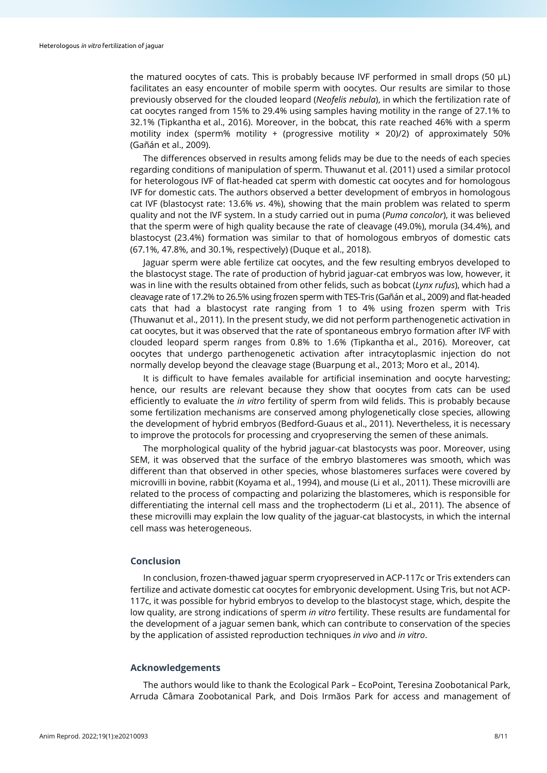the matured oocytes of cats. This is probably because IVF performed in small drops (50 μL) facilitates an easy encounter of mobile sperm with oocytes. Our results are similar to those previously observed for the clouded leopard (*Neofelis nebula*), in which the fertilization rate of cat oocytes ranged from 15% to 29.4% using samples having motility in the range of 27.1% to 32.1% (Tipkantha et al., 2016). Moreover, in the bobcat, this rate reached 46% with a sperm motility index (sperm% motility + (progressive motility  $\times$  20)/2) of approximately 50% (Gañán et al., 2009).

The differences observed in results among felids may be due to the needs of each species regarding conditions of manipulation of sperm. Thuwanut et al. (2011) used a similar protocol for heterologous IVF of flat-headed cat sperm with domestic cat oocytes and for homologous IVF for domestic cats. The authors observed a better development of embryos in homologous cat IVF (blastocyst rate: 13.6% *vs*. 4%), showing that the main problem was related to sperm quality and not the IVF system. In a study carried out in puma (*Puma concolor*), it was believed that the sperm were of high quality because the rate of cleavage (49.0%), morula (34.4%), and blastocyst (23.4%) formation was similar to that of homologous embryos of domestic cats (67.1%, 47.8%, and 30.1%, respectively) (Duque et al., 2018).

Jaguar sperm were able fertilize cat oocytes, and the few resulting embryos developed to the blastocyst stage. The rate of production of hybrid jaguar-cat embryos was low, however, it was in line with the results obtained from other felids, such as bobcat (*Lynx rufus*), which had a cleavage rate of 17.2% to 26.5% using frozen sperm with TES-Tris (Gañán et al., 2009) and flat-headed cats that had a blastocyst rate ranging from 1 to 4% using frozen sperm with Tris (Thuwanut et al., 2011). In the present study, we did not perform parthenogenetic activation in cat oocytes, but it was observed that the rate of spontaneous embryo formation after IVF with clouded leopard sperm ranges from 0.8% to 1.6% (Tipkantha et al., 2016). Moreover, cat oocytes that undergo parthenogenetic activation after intracytoplasmic injection do not normally develop beyond the cleavage stage (Buarpung et al., 2013; Moro et al., 2014).

It is difficult to have females available for artificial insemination and oocyte harvesting; hence, our results are relevant because they show that oocytes from cats can be used efficiently to evaluate the *in vitro* fertility of sperm from wild felids. This is probably because some fertilization mechanisms are conserved among phylogenetically close species, allowing the development of hybrid embryos (Bedford-Guaus et al., 2011). Nevertheless, it is necessary to improve the protocols for processing and cryopreserving the semen of these animals.

The morphological quality of the hybrid jaguar-cat blastocysts was poor. Moreover, using SEM, it was observed that the surface of the embryo blastomeres was smooth, which was different than that observed in other species, whose blastomeres surfaces were covered by microvilli in bovine, rabbit (Koyama et al., 1994), and mouse (Li et al., 2011). These microvilli are related to the process of compacting and polarizing the blastomeres, which is responsible for differentiating the internal cell mass and the trophectoderm (Li et al., 2011). The absence of these microvilli may explain the low quality of the jaguar-cat blastocysts, in which the internal cell mass was heterogeneous.

## **Conclusion**

In conclusion, frozen-thawed jaguar sperm cryopreserved in ACP-117c or Tris extenders can fertilize and activate domestic cat oocytes for embryonic development. Using Tris, but not ACP-117c, it was possible for hybrid embryos to develop to the blastocyst stage, which, despite the low quality, are strong indications of sperm *in vitro* fertility. These results are fundamental for the development of a jaguar semen bank, which can contribute to conservation of the species by the application of assisted reproduction techniques *in vivo* and *in vitro*.

### **Acknowledgements**

The authors would like to thank the Ecological Park – EcoPoint, Teresina Zoobotanical Park, Arruda Câmara Zoobotanical Park, and Dois Irmãos Park for access and management of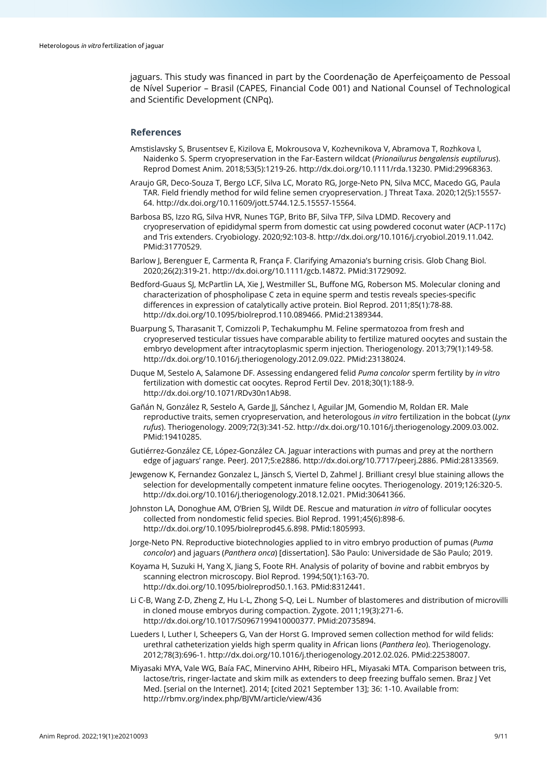jaguars. This study was financed in part by the Coordenação de Aperfeiçoamento de Pessoal de Nível Superior – Brasil (CAPES, Financial Code 001) and National Counsel of Technological and Scientific Development (CNPq).

## **References**

- Amstislavsky S, Brusentsev E, Kizilova E, Mokrousova V, Kozhevnikova V, Abramova T, Rozhkova I, Naidenko S. Sperm cryopreservation in the Far‐Eastern wildcat (*Prionailurus bengalensis euptilurus*). Reprod Domest Anim. 2018;53(5):1219-26[. http://dx.doi.org/10.1111/rda.13230.](https://doi.org/10.1111/rda.13230) [PMid:29968363.](https://www.ncbi.nlm.nih.gov/entrez/query.fcgi?cmd=Retrieve&db=PubMed&list_uids=29968363&dopt=Abstract)
- Araujo GR, Deco-Souza T, Bergo LCF, Silva LC, Morato RG, Jorge-Neto PN, Silva MCC, Macedo GG, Paula TAR. Field friendly method for wild feline semen cryopreservation. J Threat Taxa. 2020;12(5):15557- 64[. http://dx.doi.org/10.11609/jott.5744.12.5.15557-15564.](https://doi.org/10.11609/jott.5744.12.5.15557-15564)
- Barbosa BS, Izzo RG, Silva HVR, Nunes TGP, Brito BF, Silva TFP, Silva LDMD. Recovery and cryopreservation of epididymal sperm from domestic cat using powdered coconut water (ACP-117c) and Tris extenders. Cryobiology. 2020;92:103-8. [http://dx.doi.org/10.1016/j.cryobiol.2019.11.042](https://doi.org/10.1016/j.cryobiol.2019.11.042)[.](https://www.ncbi.nlm.nih.gov/entrez/query.fcgi?cmd=Retrieve&db=PubMed&list_uids=31770529&dopt=Abstract) [PMid:31770529.](https://www.ncbi.nlm.nih.gov/entrez/query.fcgi?cmd=Retrieve&db=PubMed&list_uids=31770529&dopt=Abstract)
- Barlow J, Berenguer E, Carmenta R, França F. Clarifying Amazonia's burning crisis. Glob Chang Biol. 2020;26(2):319-21[. http://dx.doi.org/10.1111/gcb.14872.](https://doi.org/10.1111/gcb.14872) [PMid:31729092.](https://www.ncbi.nlm.nih.gov/entrez/query.fcgi?cmd=Retrieve&db=PubMed&list_uids=31729092&dopt=Abstract)
- Bedford-Guaus SJ, McPartlin LA, Xie J, Westmiller SL, Buffone MG, Roberson MS. Molecular cloning and characterization of phospholipase C zeta in equine sperm and testis reveals species-specific differences in expression of catalytically active protein. Biol Reprod. 2011;85(1):78-88. [http://dx.doi.org/10.1095/biolreprod.110.089466.](https://doi.org/10.1095/biolreprod.110.089466) [PMid:21389344.](https://www.ncbi.nlm.nih.gov/entrez/query.fcgi?cmd=Retrieve&db=PubMed&list_uids=21389344&dopt=Abstract)
- Buarpung S, Tharasanit T, Comizzoli P, Techakumphu M. Feline spermatozoa from fresh and cryopreserved testicular tissues have comparable ability to fertilize matured oocytes and sustain the embryo development after intracytoplasmic sperm injection. Theriogenology. 2013;79(1):149-58. [http://dx.doi.org/10.1016/j.theriogenology.2012.09.022.](https://doi.org/10.1016/j.theriogenology.2012.09.022) [PMid:23138024.](https://www.ncbi.nlm.nih.gov/entrez/query.fcgi?cmd=Retrieve&db=PubMed&list_uids=23138024&dopt=Abstract)
- Duque M, Sestelo A, Salamone DF. Assessing endangered felid *Puma concolor* sperm fertility by *in vitro* fertilization with domestic cat oocytes. Reprod Fertil Dev. 2018;30(1):188-9. [http://dx.doi.org/10.1071/RDv30n1Ab98.](https://doi.org/10.1071/RDv30n1Ab98)
- Gañán N, González R, Sestelo A, Garde JJ, Sánchez I, Aguilar JM, Gomendio M, Roldan ER. Male reproductive traits, semen cryopreservation, and heterologous *in vitro* fertilization in the bobcat (*Lynx rufus*). Theriogenology. 2009;72(3):341-52[. http://dx.doi.org/10.1016/j.theriogenology.2009.03.002.](https://doi.org/10.1016/j.theriogenology.2009.03.002) [PMid:19410285.](https://www.ncbi.nlm.nih.gov/entrez/query.fcgi?cmd=Retrieve&db=PubMed&list_uids=19410285&dopt=Abstract)
- Gutiérrez-González CE, López-González CA. Jaguar interactions with pumas and prey at the northern edge of jaguars' range. PeerJ. 2017;5:e2886[. http://dx.doi.org/10.7717/peerj.2886.](https://doi.org/10.7717/peerj.2886) [PMid:28133569.](https://www.ncbi.nlm.nih.gov/entrez/query.fcgi?cmd=Retrieve&db=PubMed&list_uids=28133569&dopt=Abstract)
- Jewgenow K, Fernandez Gonzalez L, Jänsch S, Viertel D, Zahmel J. Brilliant cresyl blue staining allows the selection for developmentally competent inmature feline oocytes. Theriogenology. 2019;126:320-5. [http://dx.doi.org/10.1016/j.theriogenology.2018.12.021.](https://doi.org/10.1016/j.theriogenology.2018.12.021) [PMid:30641366.](https://www.ncbi.nlm.nih.gov/entrez/query.fcgi?cmd=Retrieve&db=PubMed&list_uids=30641366&dopt=Abstract)
- Johnston LA, Donoghue AM, O'Brien SJ, Wildt DE. Rescue and maturation *in vitro* of follicular oocytes collected from nondomestic felid species. Biol Reprod. 1991;45(6):898-6. [http://dx.doi.org/10.1095/biolreprod45.6.898.](https://doi.org/10.1095/biolreprod45.6.898) [PMid:1805993.](https://www.ncbi.nlm.nih.gov/entrez/query.fcgi?cmd=Retrieve&db=PubMed&list_uids=1805993&dopt=Abstract)
- Jorge-Neto PN. Reproductive biotechnologies applied to in vitro embryo production of pumas (*Puma concolor*) and jaguars (*Panthera onca*) [dissertation]. São Paulo: Universidade de São Paulo; 2019.
- Koyama H, Suzuki H, Yang X, Jiang S, Foote RH. Analysis of polarity of bovine and rabbit embryos by scanning electron microscopy. Biol Reprod. 1994;50(1):163-70. [http://dx.doi.org/10.1095/biolreprod50.1.163.](https://doi.org/10.1095/biolreprod50.1.163) [PMid:8312441.](https://www.ncbi.nlm.nih.gov/entrez/query.fcgi?cmd=Retrieve&db=PubMed&list_uids=8312441&dopt=Abstract)
- Li C-B, Wang Z-D, Zheng Z, Hu L-L, Zhong S-Q, Lei L. Number of blastomeres and distribution of microvilli in cloned mouse embryos during compaction. Zygote. 2011;19(3):271-6. [http://dx.doi.org/10.1017/S0967199410000377.](https://doi.org/10.1017/S0967199410000377) [PMid:20735894.](https://www.ncbi.nlm.nih.gov/entrez/query.fcgi?cmd=Retrieve&db=PubMed&list_uids=20735894&dopt=Abstract)
- Lueders I, Luther I, Scheepers G, Van der Horst G. Improved semen collection method for wild felids: urethral catheterization yields high sperm quality in African lions (*Panthera leo*). Theriogenology. 2012;78(3):696-1[. http://dx.doi.org/10.1016/j.theriogenology.2012.02.026.](https://doi.org/10.1016/j.theriogenology.2012.02.026) [PMid:22538007.](https://www.ncbi.nlm.nih.gov/entrez/query.fcgi?cmd=Retrieve&db=PubMed&list_uids=22538007&dopt=Abstract)
- Miyasaki MYA, Vale WG, Baía FAC, Minervino AHH, Ribeiro HFL, Miyasaki MTA. Comparison between tris, lactose/tris, ringer-lactate and skim milk as extenders to deep freezing buffalo semen. Braz J Vet Med. [serial on the Internet]. 2014; [cited 2021 September 13]; 36: 1-10. Available from: http://rbmv.org/index.php/BJVM/article/view/436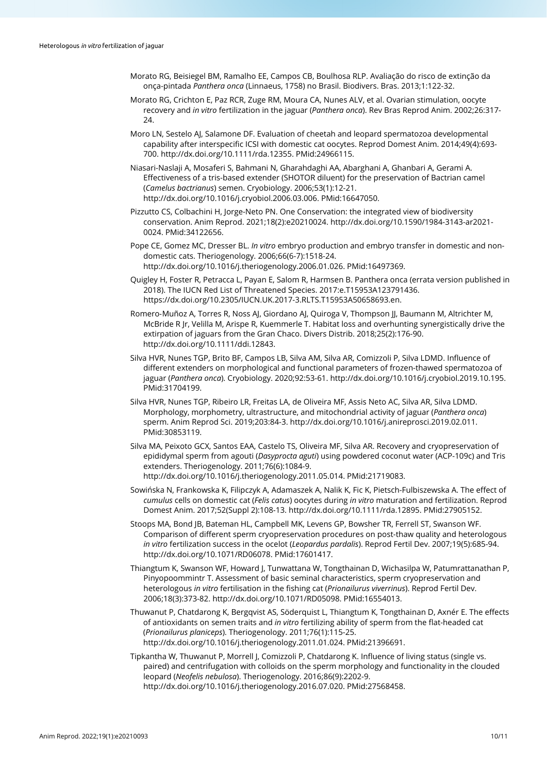- Morato RG, Beisiegel BM, Ramalho EE, Campos CB, Boulhosa RLP. Avaliação do risco de extinção da onça-pintada *Panthera onca* (Linnaeus, 1758) no Brasil. Biodivers. Bras. 2013;1:122-32.
- Morato RG, Crichton E, Paz RCR, Zuge RM, Moura CA, Nunes ALV, et al. Ovarian stimulation, oocyte recovery and *in vitro* fertilization in the jaguar (*Panthera onca*). Rev Bras Reprod Anim. 2002;26:317- 24.
- Moro LN, Sestelo AJ, Salamone DF. Evaluation of cheetah and leopard spermatozoa developmental capability after interspecific ICSI with domestic cat oocytes. Reprod Domest Anim. 2014;49(4):693- 700. [http://dx.doi.org/10.1111/rda.12355.](https://doi.org/10.1111/rda.12355) [PMid:24966115.](https://www.ncbi.nlm.nih.gov/entrez/query.fcgi?cmd=Retrieve&db=PubMed&list_uids=24966115&dopt=Abstract)
- Niasari-Naslaji A, Mosaferi S, Bahmani N, Gharahdaghi AA, Abarghani A, Ghanbari A, Gerami A. Effectiveness of a tris-based extender (SHOTOR diluent) for the preservation of Bactrian camel (*Camelus bactrianus*) semen. Cryobiology. 2006;53(1):12-21. [http://dx.doi.org/10.1016/j.cryobiol.2006.03.006.](https://doi.org/10.1016/j.cryobiol.2006.03.006) [PMid:16647050.](https://www.ncbi.nlm.nih.gov/entrez/query.fcgi?cmd=Retrieve&db=PubMed&list_uids=16647050&dopt=Abstract)
- Pizzutto CS, Colbachini H, Jorge-Neto PN. One Conservation: the integrated view of biodiversity conservation. Anim Reprod. 2021;18(2):e20210024[. http://dx.doi.org/10.1590/1984-3143-ar2021-](https://doi.org/10.1590/1984-3143-ar2021-0024) [0024.](https://doi.org/10.1590/1984-3143-ar2021-0024) [PMid:34122656.](https://www.ncbi.nlm.nih.gov/entrez/query.fcgi?cmd=Retrieve&db=PubMed&list_uids=34122656&dopt=Abstract)
- Pope CE, Gomez MC, Dresser BL. *In vitro* embryo production and embryo transfer in domestic and nondomestic cats. Theriogenology. 2006;66(6-7):1518-24. [http://dx.doi.org/10.1016/j.theriogenology.2006.01.026.](https://doi.org/10.1016/j.theriogenology.2006.01.026) [PMid:16497369.](https://www.ncbi.nlm.nih.gov/entrez/query.fcgi?cmd=Retrieve&db=PubMed&list_uids=16497369&dopt=Abstract)
- Quigley H, Foster R, Petracca L, Payan E, Salom R, Harmsen B. Panthera onca (errata version published in 2018). The IUCN Red List of Threatened Species. 2017:e.T15953A123791436. https://dx.doi.org/10.2305/IUCN.UK.2017-3.RLTS.T15953A50658693.en.
- Romero‐Muñoz A, Torres R, Noss AJ, Giordano AJ, Quiroga V, Thompson JJ, Baumann M, Altrichter M, McBride R Jr, Velilla M, Arispe R, Kuemmerle T. Habitat loss and overhunting synergistically drive the extirpation of jaguars from the Gran Chaco. Divers Distrib. 2018;25(2):176-90. [http://dx.doi.org/10.1111/ddi.12843.](https://doi.org/10.1111/ddi.12843)
- Silva HVR, Nunes TGP, Brito BF, Campos LB, Silva AM, Silva AR, Comizzoli P, Silva LDMD. Influence of different extenders on morphological and functional parameters of frozen-thawed spermatozoa of jaguar (*Panthera onca*). Cryobiology. 2020;92:53-61[. http://dx.doi.org/10.1016/j.cryobiol.2019.10.195.](https://doi.org/10.1016/j.cryobiol.2019.10.195) [PMid:31704199.](https://www.ncbi.nlm.nih.gov/entrez/query.fcgi?cmd=Retrieve&db=PubMed&list_uids=31704199&dopt=Abstract)
- Silva HVR, Nunes TGP, Ribeiro LR, Freitas LA, de Oliveira MF, Assis Neto AC, Silva AR, Silva LDMD. Morphology, morphometry, ultrastructure, and mitochondrial activity of jaguar (*Panthera onca*) sperm. Anim Reprod Sci. 2019;203:84-3[. http://dx.doi.org/10.1016/j.anireprosci.2019.02.011.](https://doi.org/10.1016/j.anireprosci.2019.02.011) [PMid:30853119.](https://www.ncbi.nlm.nih.gov/entrez/query.fcgi?cmd=Retrieve&db=PubMed&list_uids=30853119&dopt=Abstract)
- Silva MA, Peixoto GCX, Santos EAA, Castelo TS, Oliveira MF, Silva AR. Recovery and cryopreservation of epididymal sperm from agouti (*Dasyprocta aguti*) using powdered coconut water (ACP-109c) and Tris extenders. Theriogenology. 2011;76(6):1084-9. [http://dx.doi.org/10.1016/j.theriogenology.2011.05.014.](https://doi.org/10.1016/j.theriogenology.2011.05.014) [PMid:21719083.](https://www.ncbi.nlm.nih.gov/entrez/query.fcgi?cmd=Retrieve&db=PubMed&list_uids=21719083&dopt=Abstract)
- Sowińska N, Frankowska K, Filipczyk A, Adamaszek A, Nalik K, Fic K, Pietsch-Fulbiszewska A. The effect of *cumulus* cells on domestic cat (*Felis catus*) oocytes during *in vitro* maturation and fertilization. Reprod Domest Anim. 2017;52(Suppl 2):108-13[. http://dx.doi.org/10.1111/rda.12895.](https://doi.org/10.1111/rda.12895) [PMid:27905152.](https://www.ncbi.nlm.nih.gov/entrez/query.fcgi?cmd=Retrieve&db=PubMed&list_uids=27905152&dopt=Abstract)
- Stoops MA, Bond JB, Bateman HL, Campbell MK, Levens GP, Bowsher TR, Ferrell ST, Swanson WF. Comparison of different sperm cryopreservation procedures on post-thaw quality and heterologous *in vitro* fertilization success in the ocelot (*Leopardus pardalis*). Reprod Fertil Dev. 2007;19(5):685-94. [http://dx.doi.org/10.1071/RD06078.](https://doi.org/10.1071/RD06078) [PMid:17601417.](https://www.ncbi.nlm.nih.gov/entrez/query.fcgi?cmd=Retrieve&db=PubMed&list_uids=17601417&dopt=Abstract)
- Thiangtum K, Swanson WF, Howard J, Tunwattana W, Tongthainan D, Wichasilpa W, Patumrattanathan P, Pinyopoommintr T. Assessment of basic seminal characteristics, sperm cryopreservation and heterologous *in vitro* fertilisation in the fishing cat (*Prionailurus viverrinus*). Reprod Fertil Dev. 2006;18(3):373-82[. http://dx.doi.org/10.1071/RD05098.](https://doi.org/10.1071/RD05098) [PMid:16554013.](https://www.ncbi.nlm.nih.gov/entrez/query.fcgi?cmd=Retrieve&db=PubMed&list_uids=16554013&dopt=Abstract)
- Thuwanut P, Chatdarong K, Bergqvist AS, Söderquist L, Thiangtum K, Tongthainan D, Axnér E. The effects of antioxidants on semen traits and *in vitro* fertilizing ability of sperm from the flat-headed cat (*Prionailurus planiceps*). Theriogenology. 2011;76(1):115-25. [http://dx.doi.org/10.1016/j.theriogenology.2011.01.024.](https://doi.org/10.1016/j.theriogenology.2011.01.024) [PMid:21396691.](https://www.ncbi.nlm.nih.gov/entrez/query.fcgi?cmd=Retrieve&db=PubMed&list_uids=21396691&dopt=Abstract)
- Tipkantha W, Thuwanut P, Morrell J, Comizzoli P, Chatdarong K. Influence of living status (single vs. paired) and centrifugation with colloids on the sperm morphology and functionality in the clouded leopard (*Neofelis nebulosa*). Theriogenology. 2016;86(9):2202-9. [http://dx.doi.org/10.1016/j.theriogenology.2016.07.020.](https://doi.org/10.1016/j.theriogenology.2016.07.020) [PMid:27568458.](https://www.ncbi.nlm.nih.gov/entrez/query.fcgi?cmd=Retrieve&db=PubMed&list_uids=27568458&dopt=Abstract)